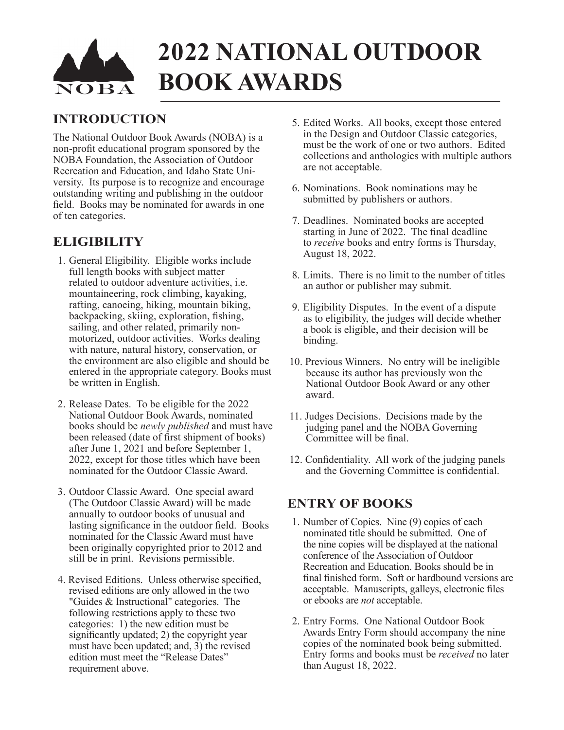# **2022 NATIONAL OUTDOOR BOOK AWARDS**

# **INTRODUCTION**

The National Outdoor Book Awards (NOBA) is a non-profit educational program sponsored by the NOBA Foundation, the Association of Outdoor Recreation and Education, and Idaho State University. Its purpose is to recognize and encourage outstanding writing and publishing in the outdoor field. Books may be nominated for awards in one of ten categories.

# **ELIGIBILITY**

- 1. General Eligibility. Eligible works include full length books with subject matter related to outdoor adventure activities, i.e. mountaineering, rock climbing, kayaking, rafting, canoeing, hiking, mountain biking, backpacking, skiing, exploration, fishing, sailing, and other related, primarily nonmotorized, outdoor activities. Works dealing with nature, natural history, conservation, or the environment are also eligible and should be entered in the appropriate category. Books must be written in English.
- 2. Release Dates. To be eligible for the 2022 National Outdoor Book Awards, nominated books should be *newly published* and must have been released (date of first shipment of books) after June 1, 2021 and before September 1, 2022, except for those titles which have been nominated for the Outdoor Classic Award.
- 3. Outdoor Classic Award. One special award (The Outdoor Classic Award) will be made annually to outdoor books of unusual and lasting significance in the outdoor field. Books nominated for the Classic Award must have been originally copyrighted prior to 2012 and still be in print. Revisions permissible.
- 4. Revised Editions. Unless otherwise specified, revised editions are only allowed in the two "Guides & Instructional" categories. The following restrictions apply to these two categories: 1) the new edition must be significantly updated; 2) the copyright year must have been updated; and, 3) the revised edition must meet the "Release Dates" requirement above.
- 5. Edited Works. All books, except those entered in the Design and Outdoor Classic categories, must be the work of one or two authors. Edited collections and anthologies with multiple authors are not acceptable.
- 6. Nominations. Book nominations may be submitted by publishers or authors.
- 7. Deadlines. Nominated books are accepted starting in June of 2022. The final deadline to *receive* books and entry forms is Thursday, August 18, 2022.
- 8. Limits. There is no limit to the number of titles an author or publisher may submit.
- 9. Eligibility Disputes. In the event of a dispute as to eligibility, the judges will decide whether a book is eligible, and their decision will be binding.
- 10. Previous Winners. No entry will be ineligible because its author has previously won the National Outdoor Book Award or any other award.
- 11. Judges Decisions. Decisions made by the judging panel and the NOBA Governing Committee will be final.
- 12. Confidentiality. All work of the judging panels and the Governing Committee is confidential.

# **ENTRY OF BOOKS**

- 1. Number of Copies. Nine (9) copies of each nominated title should be submitted. One of the nine copies will be displayed at the national conference of the Association of Outdoor Recreation and Education. Books should be in final finished form. Soft or hardbound versions are acceptable. Manuscripts, galleys, electronic files or ebooks are *not* acceptable.
- 2. Entry Forms. One National Outdoor Book Awards Entry Form should accompany the nine copies of the nominated book being submitted. Entry forms and books must be *received* no later than August 18, 2022.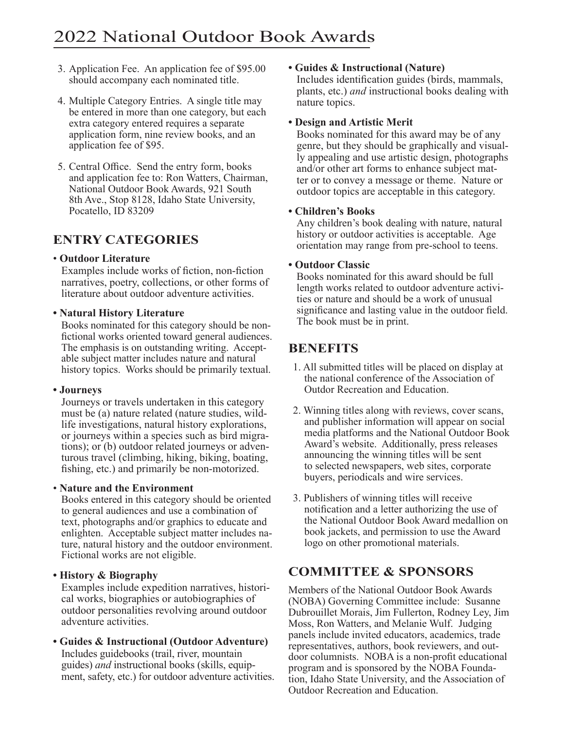- 3. Application Fee. An application fee of \$95.00 should accompany each nominated title.
- 4. Multiple Category Entries. A single title may be entered in more than one category, but each extra category entered requires a separate application form, nine review books, and an application fee of \$95.
- 5. Central Office. Send the entry form, books and application fee to: Ron Watters, Chairman, National Outdoor Book Awards, 921 South 8th Ave., Stop 8128, Idaho State University, Pocatello, ID 83209

# **ENTRY CATEGORIES**

#### • **Outdoor Literature**

Examples include works of fiction, non-fiction narratives, poetry, collections, or other forms of literature about outdoor adventure activities.

#### **• Natural History Literature**

Books nominated for this category should be nonfictional works oriented toward general audiences. The emphasis is on outstanding writing. Acceptable subject matter includes nature and natural history topics. Works should be primarily textual.

#### **• Journeys**

Journeys or travels undertaken in this category must be (a) nature related (nature studies, wildlife investigations, natural history explorations, or journeys within a species such as bird migrations); or (b) outdoor related journeys or adventurous travel (climbing, hiking, biking, boating, fishing, etc.) and primarily be non-motorized.

#### • **Nature and the Environment**

Books entered in this category should be oriented to general audiences and use a combination of text, photographs and/or graphics to educate and enlighten. Acceptable subject matter includes nature, natural history and the outdoor environment. Fictional works are not eligible.

#### **• History & Biography**

Examples include expedition narratives, historical works, biographies or autobiographies of outdoor personalities revolving around outdoor adventure activities.

**• Guides & Instructional (Outdoor Adventure)**  Includes guidebooks (trail, river, mountain guides) *and* instructional books (skills, equipment, safety, etc.) for outdoor adventure activities.

#### **• Guides & Instructional (Nature)**

Includes identification guides (birds, mammals, plants, etc.) *and* instructional books dealing with nature topics.

#### **• Design and Artistic Merit**

Books nominated for this award may be of any genre, but they should be graphically and visually appealing and use artistic design, photographs and/or other art forms to enhance subject matter or to convey a message or theme. Nature or outdoor topics are acceptable in this category.

#### **• Children's Books**

Any children's book dealing with nature, natural history or outdoor activities is acceptable. Age orientation may range from pre-school to teens.

#### **• Outdoor Classic**

Books nominated for this award should be full length works related to outdoor adventure activities or nature and should be a work of unusual significance and lasting value in the outdoor field. The book must be in print.

### **BENEFITS**

- 1. All submitted titles will be placed on display at the national conference of the Association of Outdor Recreation and Education.
- 2. Winning titles along with reviews, cover scans, and publisher information will appear on social media platforms and the National Outdoor Book Award's website. Additionally, press releases announcing the winning titles will be sent to selected newspapers, web sites, corporate buyers, periodicals and wire services.
- 3. Publishers of winning titles will receive notification and a letter authorizing the use of the National Outdoor Book Award medallion on book jackets, and permission to use the Award logo on other promotional materials.

# **COMMITTEE & SPONSORS**

Members of the National Outdoor Book Awards (NOBA) Governing Committee include: Susanne Dubrouillet Morais, Jim Fullerton, Rodney Ley, Jim Moss, Ron Watters, and Melanie Wulf. Judging panels include invited educators, academics, trade representatives, authors, book reviewers, and outdoor columnists. NOBA is a non-profit educational program and is sponsored by the NOBA Foundation, Idaho State University, and the Association of Outdoor Recreation and Education.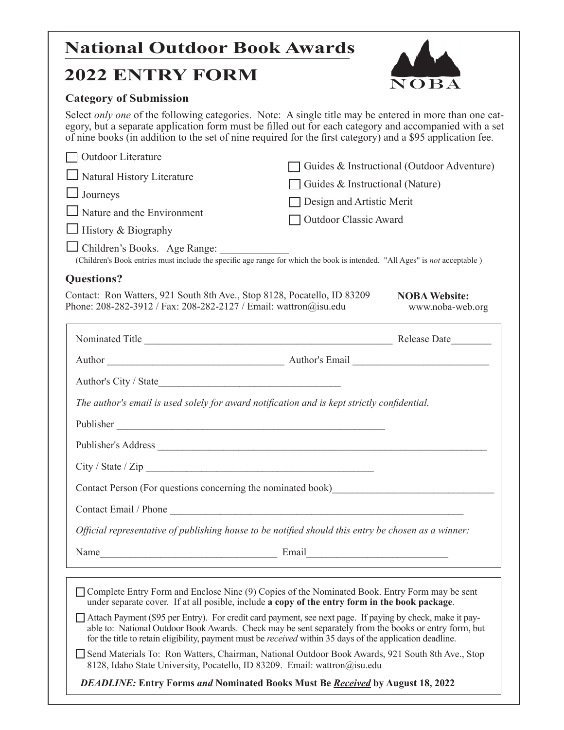# **National Outdoor Book Awards**

# **2022 ENTRY FORM**



#### **Category of Submission**

Select *only one* of the following categories. Note: A single title may be entered in more than one category, but a separate application form must be filled out for each category and accompanied with a set of nine books (in addition to the set of nine required for the first category) and a \$95 application fee.

| Outdoor Literature<br>Natural History Literature<br>$\Box$ Journeys<br>Nature and the Environment<br>$\Box$ History & Biography<br>(Children's Book entries must include the specific age range for which the book is intended. "All Ages" is not acceptable) | Guides & Instructional (Outdoor Adventure)<br>Guides & Instructional (Nature)<br>Design and Artistic Merit<br>Outdoor Classic Award |
|---------------------------------------------------------------------------------------------------------------------------------------------------------------------------------------------------------------------------------------------------------------|-------------------------------------------------------------------------------------------------------------------------------------|
| <b>Questions?</b>                                                                                                                                                                                                                                             |                                                                                                                                     |
| Contact: Ron Watters, 921 South 8th Ave., Stop 8128, Pocatello, ID 83209<br>Phone: 208-282-3912 / Fax: 208-282-2127 / Email: wattron@isu.edu                                                                                                                  | <b>NOBA Website:</b><br>www.noba-web.org                                                                                            |
|                                                                                                                                                                                                                                                               |                                                                                                                                     |
|                                                                                                                                                                                                                                                               |                                                                                                                                     |
|                                                                                                                                                                                                                                                               |                                                                                                                                     |
| The author's email is used solely for award notification and is kept strictly confidential.                                                                                                                                                                   |                                                                                                                                     |
|                                                                                                                                                                                                                                                               |                                                                                                                                     |
|                                                                                                                                                                                                                                                               |                                                                                                                                     |
| City / State / Zip                                                                                                                                                                                                                                            |                                                                                                                                     |
| Contact Person (For questions concerning the nominated book)                                                                                                                                                                                                  |                                                                                                                                     |
|                                                                                                                                                                                                                                                               |                                                                                                                                     |
| Official representative of publishing house to be notified should this entry be chosen as a winner:                                                                                                                                                           |                                                                                                                                     |
|                                                                                                                                                                                                                                                               |                                                                                                                                     |
| □ Complete Entry Form and Enclose Nine (9) Copies of the Nominated Book. Entry Form may be sent<br>under separate cover. If at all posible, include a copy of the entry form in the book package.                                                             |                                                                                                                                     |

- Attach Payment (\$95 per Entry). For credit card payment, see next page. If paying by check, make it payable to: National Outdoor Book Awards. Check may be sent separately from the books or entry form, but for the title to retain eligibility, payment must be *received* within 35 days of the application deadline.
- Send Materials To: Ron Watters, Chairman, National Outdoor Book Awards, 921 South 8th Ave., Stop 8128, Idaho State University, Pocatello, ID 83209. Email: [wattron@isu.edu](mailto:wattron@isu.edu)

*DEADLINE:* **Entry Forms** *and* **Nominated Books Must Be** *Received* **by August 18, 2022**